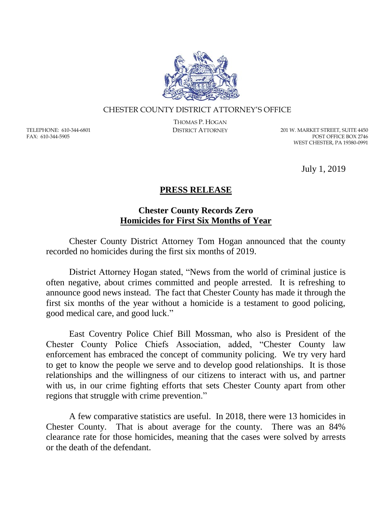

## CHESTER COUNTY DISTRICT ATTORNEY'S OFFICE

TELEPHONE: 610-344-6801 FAX: 610-344-5905

THOMAS P. HOGAN

DISTRICT ATTORNEY 201 W. MARKET STREET, SUITE 4450 POST OFFICE BOX 2746 WEST CHESTER, PA 19380-0991

July 1, 2019

## **PRESS RELEASE**

## **Chester County Records Zero Homicides for First Six Months of Year**

Chester County District Attorney Tom Hogan announced that the county recorded no homicides during the first six months of 2019.

District Attorney Hogan stated, "News from the world of criminal justice is often negative, about crimes committed and people arrested. It is refreshing to announce good news instead. The fact that Chester County has made it through the first six months of the year without a homicide is a testament to good policing, good medical care, and good luck."

East Coventry Police Chief Bill Mossman, who also is President of the Chester County Police Chiefs Association, added, "Chester County law enforcement has embraced the concept of community policing. We try very hard to get to know the people we serve and to develop good relationships. It is those relationships and the willingness of our citizens to interact with us, and partner with us, in our crime fighting efforts that sets Chester County apart from other regions that struggle with crime prevention."

A few comparative statistics are useful. In 2018, there were 13 homicides in Chester County. That is about average for the county. There was an 84% clearance rate for those homicides, meaning that the cases were solved by arrests or the death of the defendant.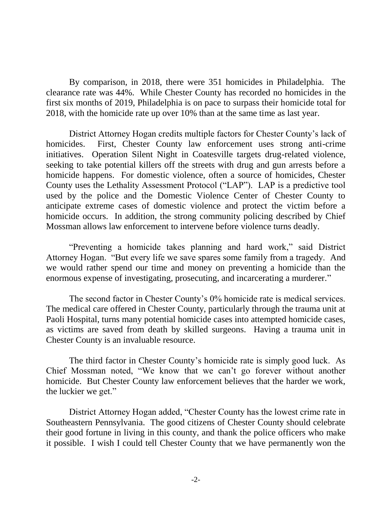By comparison, in 2018, there were 351 homicides in Philadelphia. The clearance rate was 44%. While Chester County has recorded no homicides in the first six months of 2019, Philadelphia is on pace to surpass their homicide total for 2018, with the homicide rate up over 10% than at the same time as last year.

District Attorney Hogan credits multiple factors for Chester County's lack of homicides. First, Chester County law enforcement uses strong anti-crime initiatives. Operation Silent Night in Coatesville targets drug-related violence, seeking to take potential killers off the streets with drug and gun arrests before a homicide happens. For domestic violence, often a source of homicides, Chester County uses the Lethality Assessment Protocol ("LAP"). LAP is a predictive tool used by the police and the Domestic Violence Center of Chester County to anticipate extreme cases of domestic violence and protect the victim before a homicide occurs. In addition, the strong community policing described by Chief Mossman allows law enforcement to intervene before violence turns deadly.

"Preventing a homicide takes planning and hard work," said District Attorney Hogan. "But every life we save spares some family from a tragedy. And we would rather spend our time and money on preventing a homicide than the enormous expense of investigating, prosecuting, and incarcerating a murderer."

The second factor in Chester County's 0% homicide rate is medical services. The medical care offered in Chester County, particularly through the trauma unit at Paoli Hospital, turns many potential homicide cases into attempted homicide cases, as victims are saved from death by skilled surgeons. Having a trauma unit in Chester County is an invaluable resource.

The third factor in Chester County's homicide rate is simply good luck. As Chief Mossman noted, "We know that we can't go forever without another homicide. But Chester County law enforcement believes that the harder we work, the luckier we get."

District Attorney Hogan added, "Chester County has the lowest crime rate in Southeastern Pennsylvania. The good citizens of Chester County should celebrate their good fortune in living in this county, and thank the police officers who make it possible. I wish I could tell Chester County that we have permanently won the